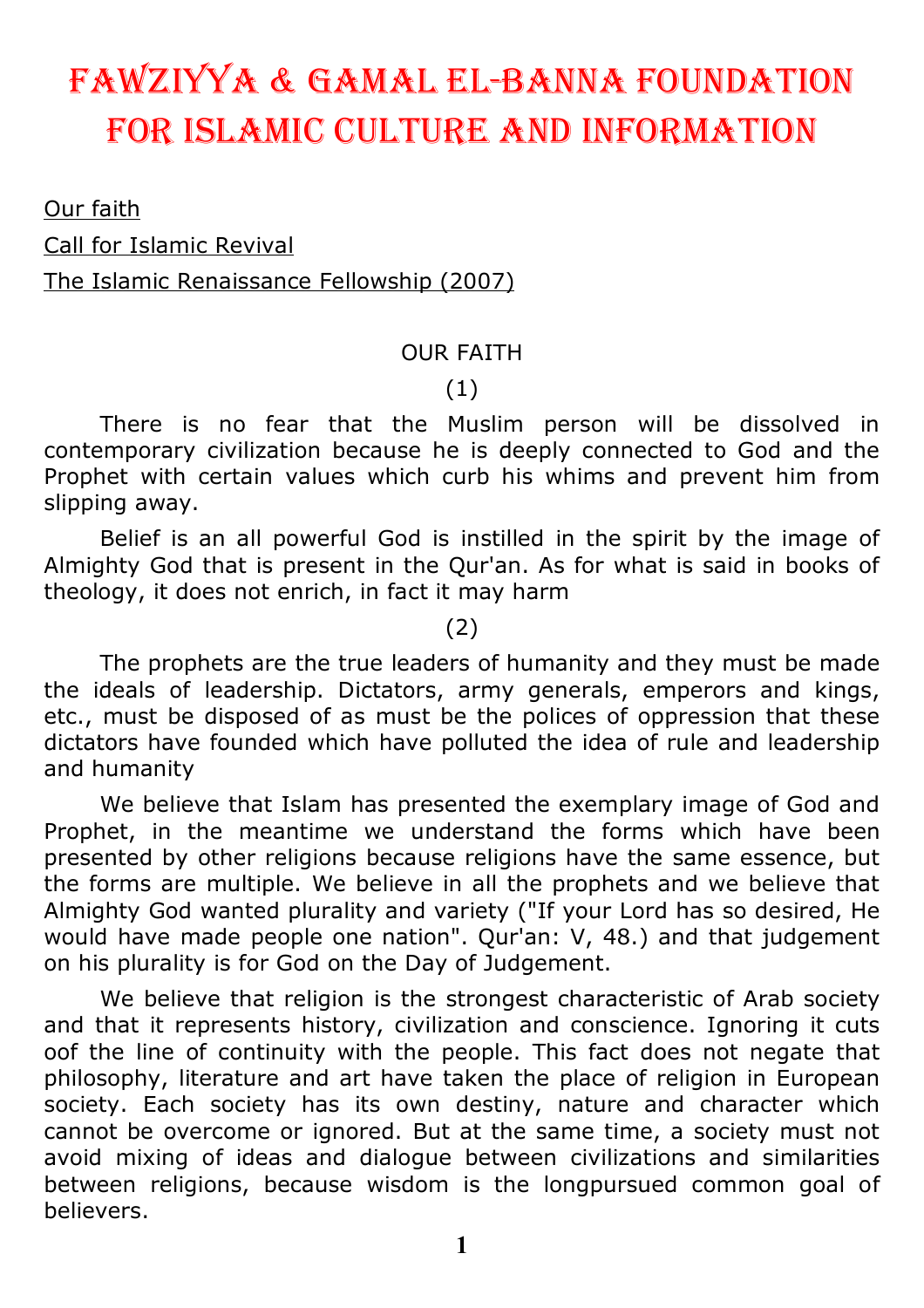# Fawziyya & Gamal El-Banna Foundation For islamic culturE and inFormation

Our faith Call for Islamic Revival The Islamic Renaissance Fellowship (2007)

#### OUR FAITH

#### (1)

There is no fear that the Muslim person will be dissolved in contemporary civilization because he is deeply connected to God and the Prophet with certain values which curb his whims and prevent him from slipping away.

Belief is an all powerful God is instilled in the spirit by the image of Almighty God that is present in the Qur'an. As for what is said in books of theology, it does not enrich, in fact it may harm

(2)

The prophets are the true leaders of humanity and they must be made the ideals of leadership. Dictators, army generals, emperors and kings, etc., must be disposed of as must be the polices of oppression that these dictators have founded which have polluted the idea of rule and leadership and humanity

We believe that Islam has presented the exemplary image of God and Prophet, in the meantime we understand the forms which have been presented by other religions because religions have the same essence, but the forms are multiple. We believe in all the prophets and we believe that Almighty God wanted plurality and variety ("If your Lord has so desired, He would have made people one nation". Qur'an: V, 48.) and that judgement on his plurality is for God on the Day of Judgement.

We believe that religion is the strongest characteristic of Arab society and that it represents history, civilization and conscience. Ignoring it cuts oof the line of continuity with the people. This fact does not negate that philosophy, literature and art have taken the place of religion in European society. Each society has its own destiny, nature and character which cannot be overcome or ignored. But at the same time, a society must not avoid mixing of ideas and dialogue between civilizations and similarities between religions, because wisdom is the longpursued common goal of believers.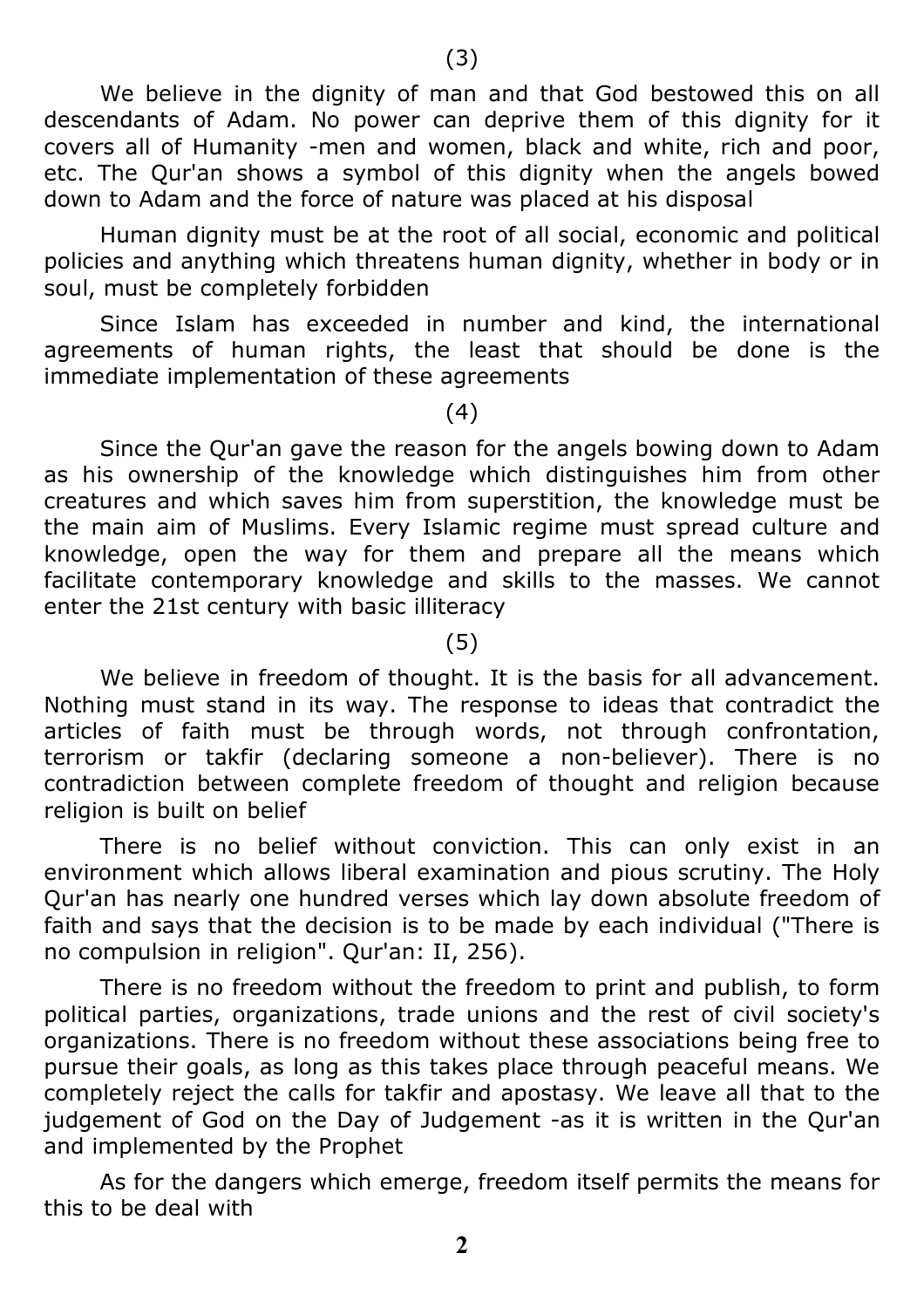We believe in the dignity of man and that God bestowed this on all descendants of Adam. No power can deprive them of this dignity for it covers all of Humanity -men and women, black and white, rich and poor, etc. The Qur'an shows a symbol of this dignity when the angels bowed down to Adam and the force of nature was placed at his disposal

Human dignity must be at the root of all social, economic and political policies and anything which threatens human dignity, whether in body or in soul, must be completely forbidden

Since Islam has exceeded in number and kind, the international agreements of human rights, the least that should be done is the immediate implementation of these agreements

(4)

Since the Qur'an gave the reason for the angels bowing down to Adam as his ownership of the knowledge which distinguishes him from other creatures and which saves him from superstition, the knowledge must be the main aim of Muslims. Every Islamic regime must spread culture and knowledge, open the way for them and prepare all the means which facilitate contemporary knowledge and skills to the masses. We cannot enter the 21st century with basic illiteracy

(5)

We believe in freedom of thought. It is the basis for all advancement. Nothing must stand in its way. The response to ideas that contradict the articles of faith must be through words, not through confrontation, terrorism or takfir (declaring someone a non-believer). There is no contradiction between complete freedom of thought and religion because religion is built on belief

There is no belief without conviction. This can only exist in an environment which allows liberal examination and pious scrutiny. The Holy Qur'an has nearly one hundred verses which lay down absolute freedom of faith and says that the decision is to be made by each individual ("There is no compulsion in religion". Qur'an: II, 256).

There is no freedom without the freedom to print and publish, to form political parties, organizations, trade unions and the rest of civil society's organizations. There is no freedom without these associations being free to pursue their goals, as long as this takes place through peaceful means. We completely reject the calls for takfir and apostasy. We leave all that to the judgement of God on the Day of Judgement -as it is written in the Qur'an and implemented by the Prophet

As for the dangers which emerge, freedom itself permits the means for this to be deal with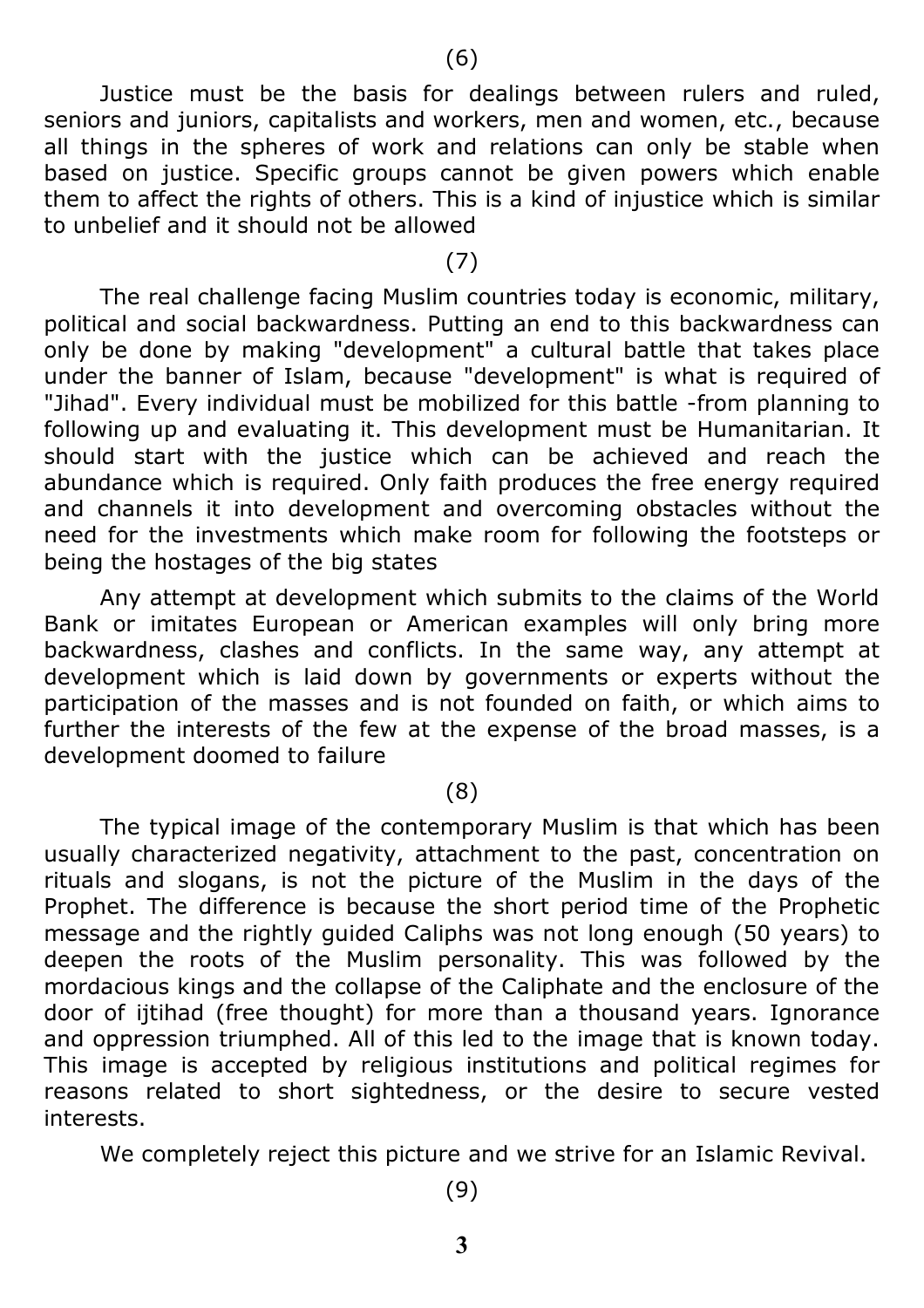Justice must be the basis for dealings between rulers and ruled, seniors and juniors, capitalists and workers, men and women, etc., because all things in the spheres of work and relations can only be stable when based on justice. Specific groups cannot be given powers which enable them to affect the rights of others. This is a kind of injustice which is similar to unbelief and it should not be allowed

#### (7)

The real challenge facing Muslim countries today is economic, military, political and social backwardness. Putting an end to this backwardness can only be done by making "development" a cultural battle that takes place under the banner of Islam, because "development" is what is required of "Jihad". Every individual must be mobilized for this battle -from planning to following up and evaluating it. This development must be Humanitarian. It should start with the justice which can be achieved and reach the abundance which is required. Only faith produces the free energy required and channels it into development and overcoming obstacles without the need for the investments which make room for following the footsteps or being the hostages of the big states

Any attempt at development which submits to the claims of the World Bank or imitates European or American examples will only bring more backwardness, clashes and conflicts. In the same way, any attempt at development which is laid down by governments or experts without the participation of the masses and is not founded on faith, or which aims to further the interests of the few at the expense of the broad masses, is a development doomed to failure

#### (8)

The typical image of the contemporary Muslim is that which has been usually characterized negativity, attachment to the past, concentration on rituals and slogans, is not the picture of the Muslim in the days of the Prophet. The difference is because the short period time of the Prophetic message and the rightly guided Caliphs was not long enough (50 years) to deepen the roots of the Muslim personality. This was followed by the mordacious kings and the collapse of the Caliphate and the enclosure of the door of ijtihad (free thought) for more than a thousand years. Ignorance and oppression triumphed. All of this led to the image that is known today. This image is accepted by religious institutions and political regimes for reasons related to short sightedness, or the desire to secure vested interests.

We completely reject this picture and we strive for an Islamic Revival.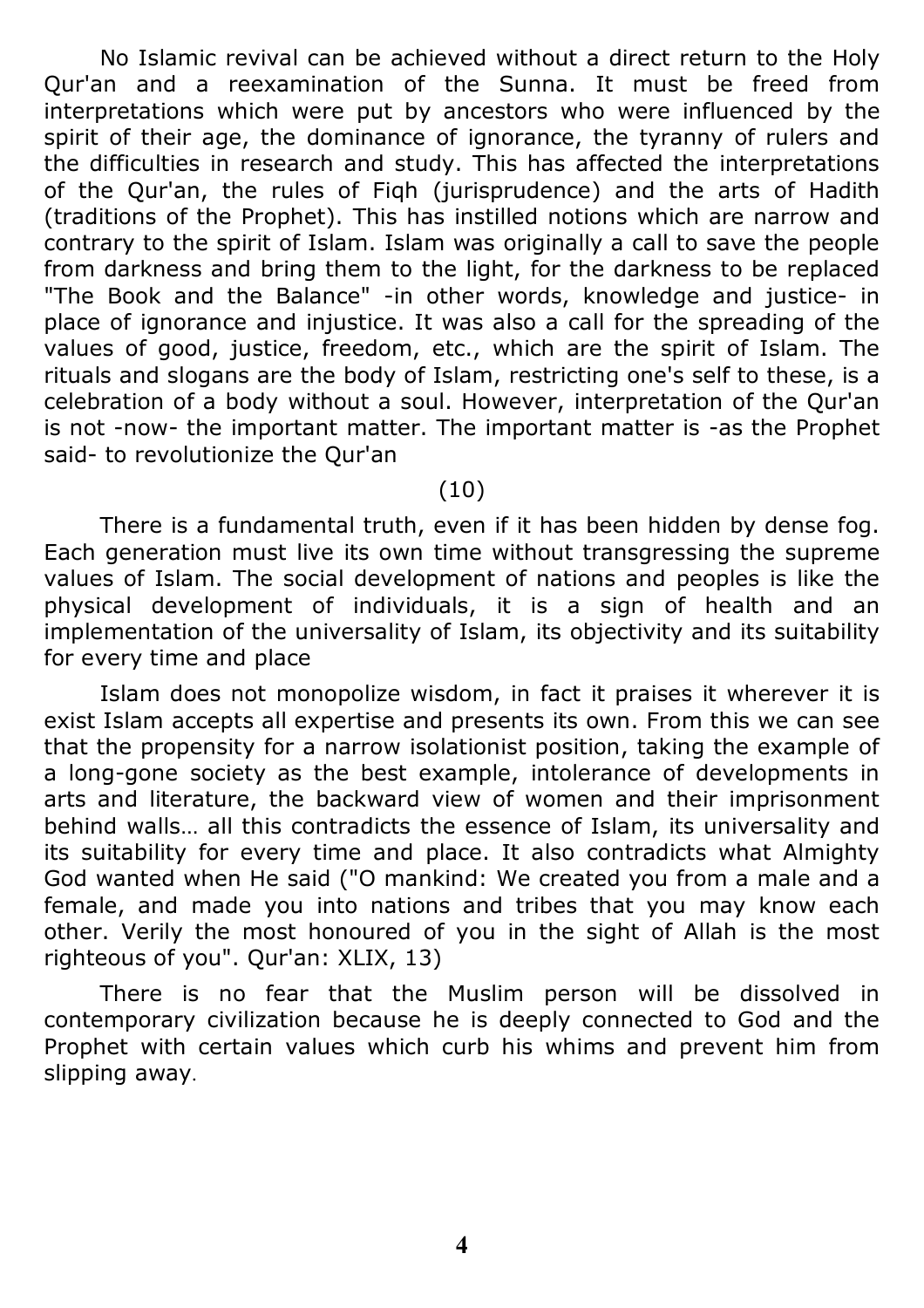No Islamic revival can be achieved without a direct return to the Holy Qur'an and a reexamination of the Sunna. It must be freed from interpretations which were put by ancestors who were influenced by the spirit of their age, the dominance of ignorance, the tyranny of rulers and the difficulties in research and study. This has affected the interpretations of the Qur'an, the rules of Fiqh (jurisprudence) and the arts of Hadith (traditions of the Prophet). This has instilled notions which are narrow and contrary to the spirit of Islam. Islam was originally a call to save the people from darkness and bring them to the light, for the darkness to be replaced "The Book and the Balance" -in other words, knowledge and justice- in place of ignorance and injustice. It was also a call for the spreading of the values of good, justice, freedom, etc., which are the spirit of Islam. The rituals and slogans are the body of Islam, restricting one's self to these, is a celebration of a body without a soul. However, interpretation of the Qur'an is not -now- the important matter. The important matter is -as the Prophet said- to revolutionize the Qur'an

#### (10)

There is a fundamental truth, even if it has been hidden by dense fog. Each generation must live its own time without transgressing the supreme values of Islam. The social development of nations and peoples is like the physical development of individuals, it is a sign of health and an implementation of the universality of Islam, its objectivity and its suitability for every time and place

Islam does not monopolize wisdom, in fact it praises it wherever it is exist Islam accepts all expertise and presents its own. From this we can see that the propensity for a narrow isolationist position, taking the example of a long-gone society as the best example, intolerance of developments in arts and literature, the backward view of women and their imprisonment behind walls… all this contradicts the essence of Islam, its universality and its suitability for every time and place. It also contradicts what Almighty God wanted when He said ("O mankind: We created you from a male and a female, and made you into nations and tribes that you may know each other. Verily the most honoured of you in the sight of Allah is the most righteous of you". Qur'an: XLIX, 13)

There is no fear that the Muslim person will be dissolved in contemporary civilization because he is deeply connected to God and the Prophet with certain values which curb his whims and prevent him from slipping away.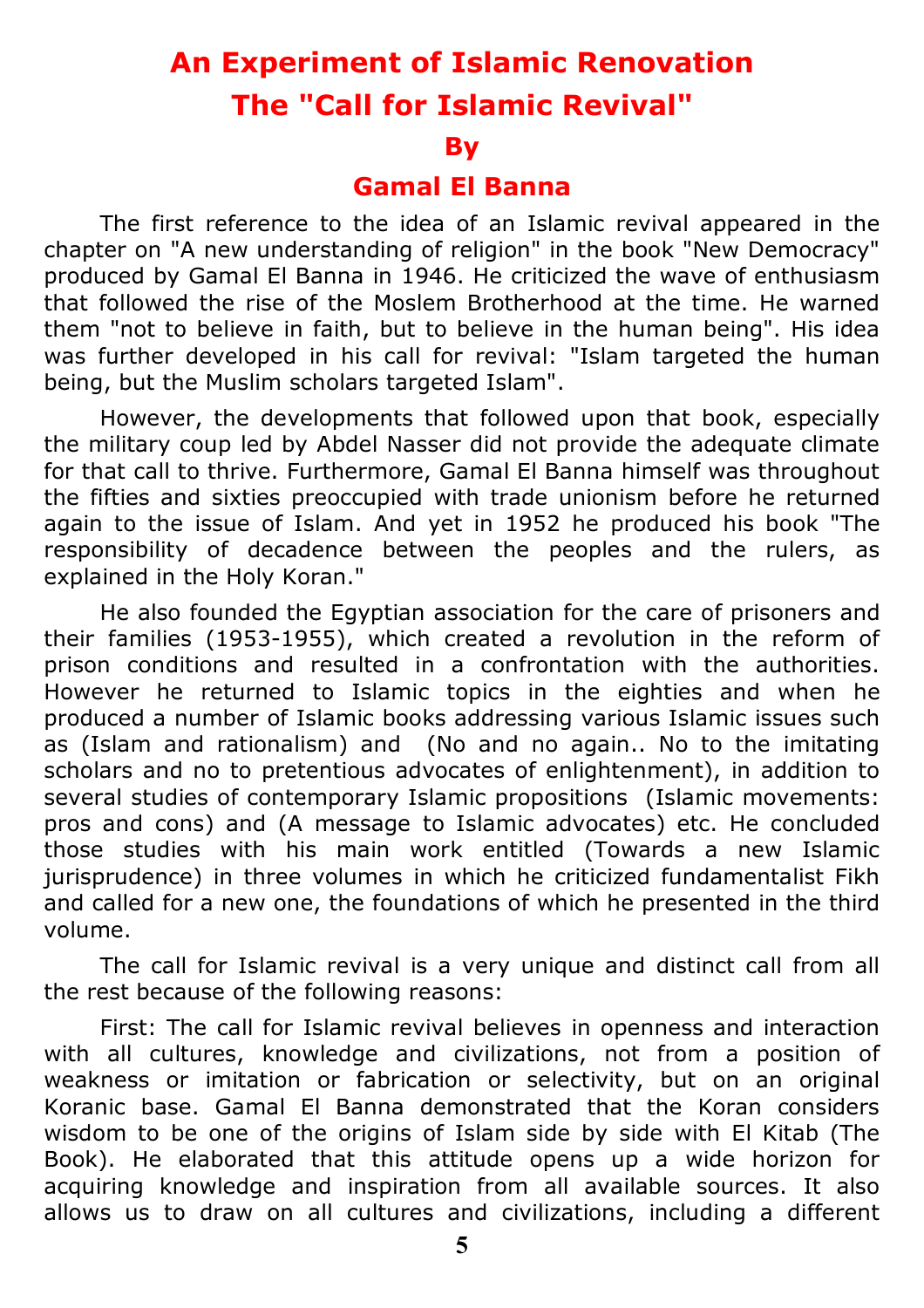### **An Experiment of Islamic Renovation The "Call for Islamic Revival"**

#### **By**

### **Gamal El Banna**

The first reference to the idea of an Islamic revival appeared in the chapter on "A new understanding of religion" in the book "New Democracy" produced by Gamal El Banna in 1946. He criticized the wave of enthusiasm that followed the rise of the Moslem Brotherhood at the time. He warned them "not to believe in faith, but to believe in the human being". His idea was further developed in his call for revival: "Islam targeted the human being, but the Muslim scholars targeted Islam".

However, the developments that followed upon that book, especially the military coup led by Abdel Nasser did not provide the adequate climate for that call to thrive. Furthermore, Gamal El Banna himself was throughout the fifties and sixties preoccupied with trade unionism before he returned again to the issue of Islam. And yet in 1952 he produced his book "The responsibility of decadence between the peoples and the rulers, as explained in the Holy Koran."

He also founded the Egyptian association for the care of prisoners and their families (1953-1955), which created a revolution in the reform of prison conditions and resulted in a confrontation with the authorities. However he returned to Islamic topics in the eighties and when he produced a number of Islamic books addressing various Islamic issues such as (Islam and rationalism) and (No and no again.. No to the imitating scholars and no to pretentious advocates of enlightenment), in addition to several studies of contemporary Islamic propositions (Islamic movements: pros and cons) and (A message to Islamic advocates) etc. He concluded those studies with his main work entitled (Towards a new Islamic jurisprudence) in three volumes in which he criticized fundamentalist Fikh and called for a new one, the foundations of which he presented in the third volume.

The call for Islamic revival is a very unique and distinct call from all the rest because of the following reasons:

First: The call for Islamic revival believes in openness and interaction with all cultures, knowledge and civilizations, not from a position of weakness or imitation or fabrication or selectivity, but on an original Koranic base. Gamal El Banna demonstrated that the Koran considers wisdom to be one of the origins of Islam side by side with El Kitab (The Book). He elaborated that this attitude opens up a wide horizon for acquiring knowledge and inspiration from all available sources. It also allows us to draw on all cultures and civilizations, including a different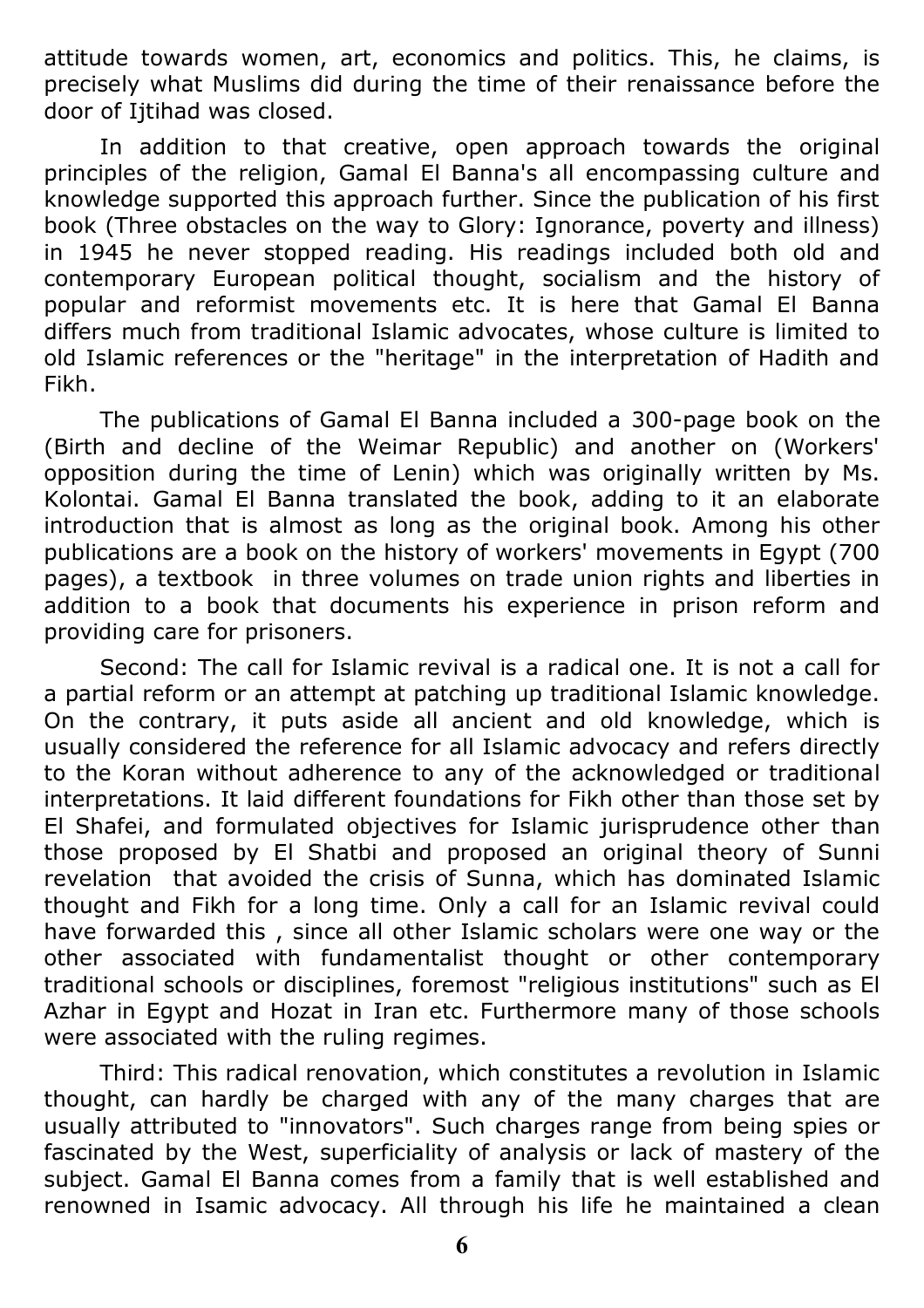attitude towards women, art, economics and politics. This, he claims, is precisely what Muslims did during the time of their renaissance before the door of Iitihad was closed.

In addition to that creative, open approach towards the original principles of the religion, Gamal El Banna's all encompassing culture and knowledge supported this approach further. Since the publication of his first book (Three obstacles on the way to Glory: Ignorance, poverty and illness) in 1945 he never stopped reading. His readings included both old and contemporary European political thought, socialism and the history of popular and reformist movements etc. It is here that Gamal El Banna differs much from traditional Islamic advocates, whose culture is limited to old Islamic references or the "heritage" in the interpretation of Hadith and Fikh.

The publications of Gamal El Banna included a 300-page book on the (Birth and decline of the Weimar Republic) and another on (Workers' opposition during the time of Lenin) which was originally written by Ms. Kolontai. Gamal El Banna translated the book, adding to it an elaborate introduction that is almost as long as the original book. Among his other publications are a book on the history of workers' movements in Egypt (700 pages), a textbook in three volumes on trade union rights and liberties in addition to a book that documents his experience in prison reform and providing care for prisoners.

Second: The call for Islamic revival is a radical one. It is not a call for a partial reform or an attempt at patching up traditional Islamic knowledge. On the contrary, it puts aside all ancient and old knowledge, which is usually considered the reference for all Islamic advocacy and refers directly to the Koran without adherence to any of the acknowledged or traditional interpretations. It laid different foundations for Fikh other than those set by El Shafei, and formulated objectives for Islamic jurisprudence other than those proposed by El Shatbi and proposed an original theory of Sunni revelation that avoided the crisis of Sunna, which has dominated Islamic thought and Fikh for a long time. Only a call for an Islamic revival could have forwarded this , since all other Islamic scholars were one way or the other associated with fundamentalist thought or other contemporary traditional schools or disciplines, foremost "religious institutions" such as El Azhar in Egypt and Hozat in Iran etc. Furthermore many of those schools were associated with the ruling regimes.

Third: This radical renovation, which constitutes a revolution in Islamic thought, can hardly be charged with any of the many charges that are usually attributed to "innovators". Such charges range from being spies or fascinated by the West, superficiality of analysis or lack of mastery of the subject. Gamal El Banna comes from a family that is well established and renowned in Isamic advocacy. All through his life he maintained a clean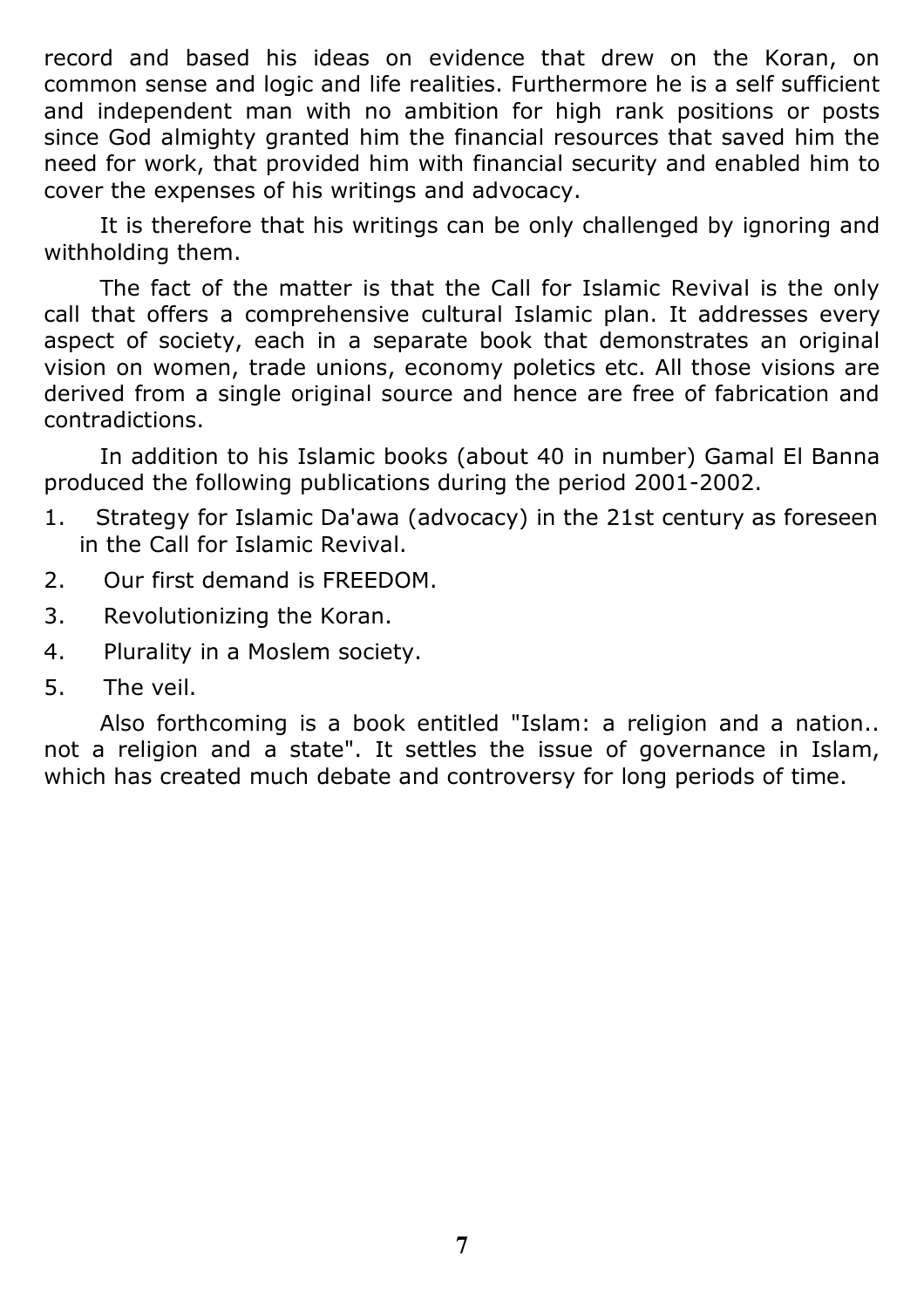record and based his ideas on evidence that drew on the Koran, on common sense and logic and life realities. Furthermore he is a self sufficient and independent man with no ambition for high rank positions or posts since God almighty granted him the financial resources that saved him the need for work, that provided him with financial security and enabled him to cover the expenses of his writings and advocacy.

It is therefore that his writings can be only challenged by ignoring and withholding them.

The fact of the matter is that the Call for Islamic Revival is the only call that offers a comprehensive cultural Islamic plan. It addresses every aspect of society, each in a separate book that demonstrates an original vision on women, trade unions, economy poletics etc. All those visions are derived from a single original source and hence are free of fabrication and contradictions.

In addition to his Islamic books (about 40 in number) Gamal El Banna produced the following publications during the period 2001-2002.

- 1. Strategy for Islamic Da'awa (advocacy) in the 21st century as foreseen in the Call for Islamic Revival.
- 2. Our first demand is FREEDOM.
- 3. Revolutionizing the Koran.
- 4. Plurality in a Moslem society.
- 5. The veil.

Also forthcoming is a book entitled "Islam: a religion and a nation.. not a religion and a state". It settles the issue of governance in Islam, which has created much debate and controversy for long periods of time.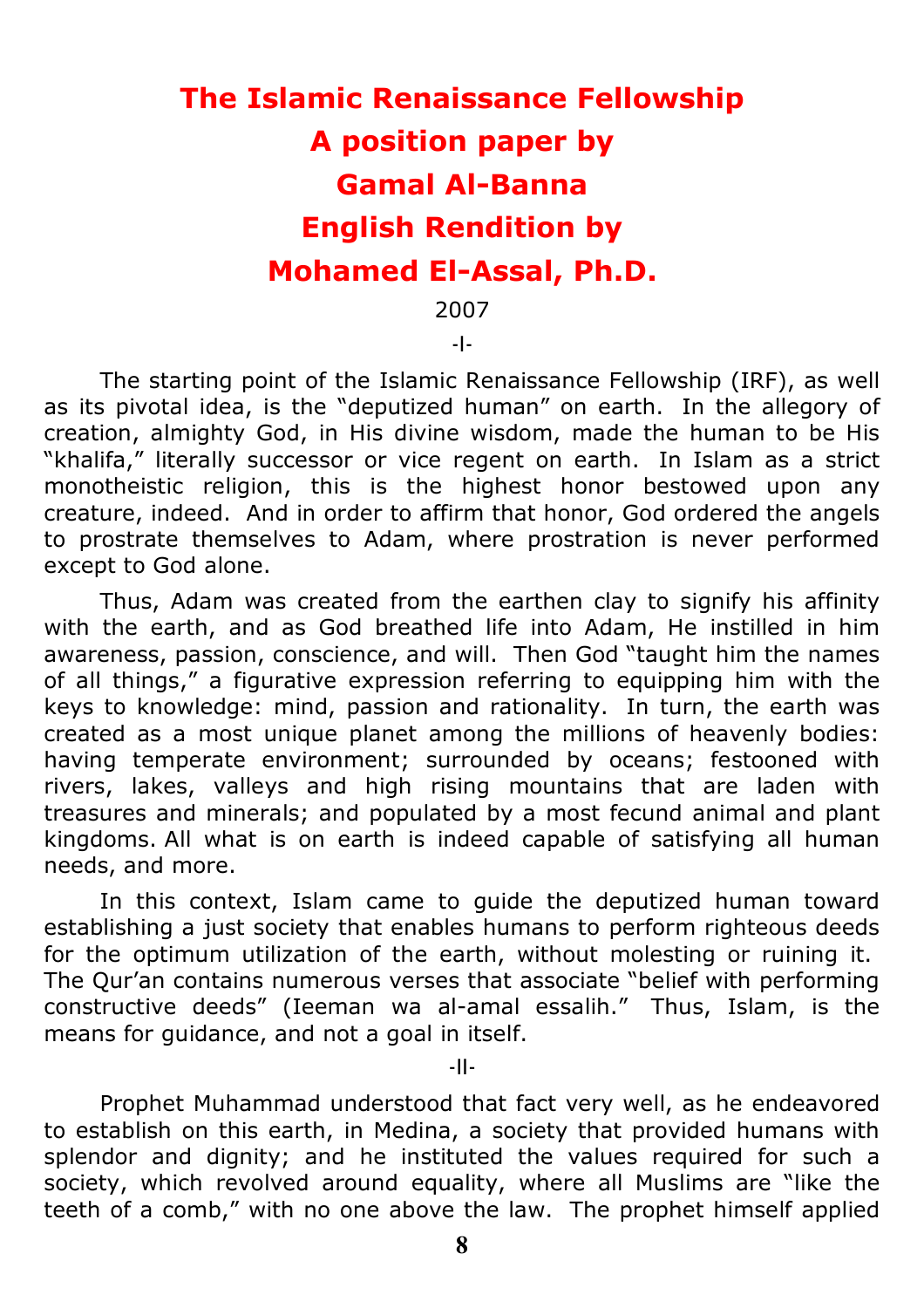## **The Islamic Renaissance Fellowship A position paper by Gamal Al-Banna English Rendition by Mohamed El-Assal, Ph.D.**

2007

-I-

The starting point of the Islamic Renaissance Fellowship (IRF), as well as its pivotal idea, is the "deputized human" on earth. In the allegory of creation, almighty God, in His divine wisdom, made the human to be His "khalifa," literally successor or vice regent on earth. In Islam as a strict monotheistic religion, this is the highest honor bestowed upon any creature, indeed. And in order to affirm that honor, God ordered the angels to prostrate themselves to Adam, where prostration is never performed except to God alone.

Thus, Adam was created from the earthen clay to signify his affinity with the earth, and as God breathed life into Adam, He instilled in him awareness, passion, conscience, and will. Then God "taught him the names of all things," a figurative expression referring to equipping him with the keys to knowledge: mind, passion and rationality. In turn, the earth was created as a most unique planet among the millions of heavenly bodies: having temperate environment; surrounded by oceans; festooned with rivers, lakes, valleys and high rising mountains that are laden with treasures and minerals; and populated by a most fecund animal and plant kingdoms. All what is on earth is indeed capable of satisfying all human needs, and more.

In this context, Islam came to guide the deputized human toward establishing a just society that enables humans to perform righteous deeds for the optimum utilization of the earth, without molesting or ruining it. The Qur'an contains numerous verses that associate "belief with performing constructive deeds" (Ieeman wa al-amal essalih." Thus, Islam, is the means for guidance, and not a goal in itself.

-II-

Prophet Muhammad understood that fact very well, as he endeavored to establish on this earth, in Medina, a society that provided humans with splendor and dignity; and he instituted the values required for such a society, which revolved around equality, where all Muslims are "like the teeth of a comb," with no one above the law. The prophet himself applied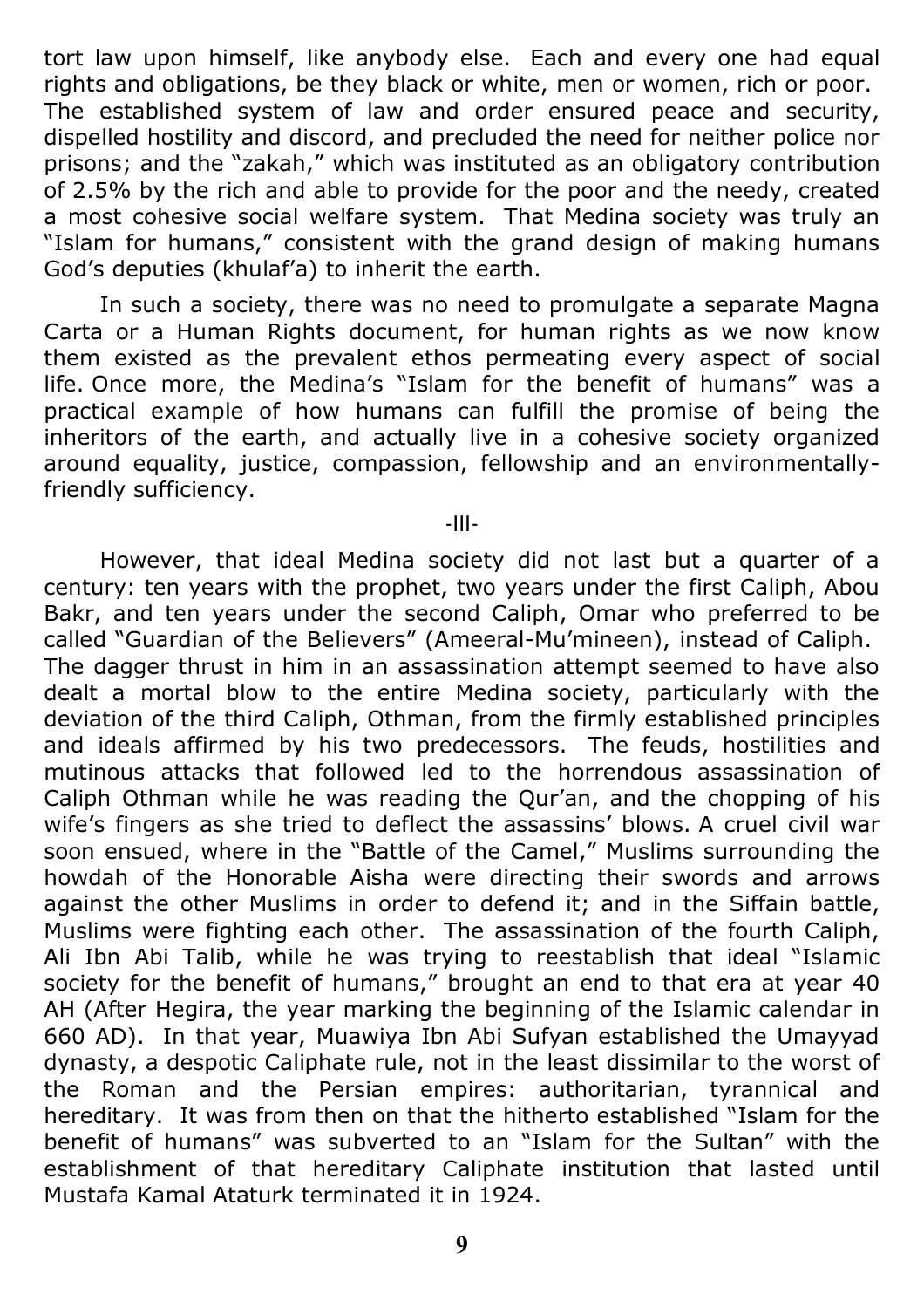tort law upon himself, like anybody else. Each and every one had equal rights and obligations, be they black or white, men or women, rich or poor. The established system of law and order ensured peace and security, dispelled hostility and discord, and precluded the need for neither police nor prisons; and the "zakah," which was instituted as an obligatory contribution of 2.5% by the rich and able to provide for the poor and the needy, created a most cohesive social welfare system. That Medina society was truly an "Islam for humans," consistent with the grand design of making humans God's deputies (khulaf'a) to inherit the earth.

In such a society, there was no need to promulgate a separate Magna Carta or a Human Rights document, for human rights as we now know them existed as the prevalent ethos permeating every aspect of social life. Once more, the Medina's "Islam for the benefit of humans" was a practical example of how humans can fulfill the promise of being the inheritors of the earth, and actually live in a cohesive society organized around equality, justice, compassion, fellowship and an environmentallyfriendly sufficiency.

-III-

However, that ideal Medina society did not last but a quarter of a century: ten years with the prophet, two years under the first Caliph, Abou Bakr, and ten years under the second Caliph, Omar who preferred to be called "Guardian of the Believers" (Ameeral-Mu'mineen), instead of Caliph. The dagger thrust in him in an assassination attempt seemed to have also dealt a mortal blow to the entire Medina society, particularly with the deviation of the third Caliph, Othman, from the firmly established principles and ideals affirmed by his two predecessors. The feuds, hostilities and mutinous attacks that followed led to the horrendous assassination of Caliph Othman while he was reading the Qur'an, and the chopping of his wife's fingers as she tried to deflect the assassins' blows. A cruel civil war soon ensued, where in the "Battle of the Camel," Muslims surrounding the howdah of the Honorable Aisha were directing their swords and arrows against the other Muslims in order to defend it; and in the Siffain battle, Muslims were fighting each other. The assassination of the fourth Caliph, Ali Ibn Abi Talib, while he was trying to reestablish that ideal "Islamic society for the benefit of humans," brought an end to that era at year 40 AH (After Hegira, the year marking the beginning of the Islamic calendar in 660 AD). In that year, Muawiya Ibn Abi Sufyan established the Umayyad dynasty, a despotic Caliphate rule, not in the least dissimilar to the worst of the Roman and the Persian empires: authoritarian, tyrannical and hereditary. It was from then on that the hitherto established "Islam for the benefit of humans" was subverted to an "Islam for the Sultan" with the establishment of that hereditary Caliphate institution that lasted until Mustafa Kamal Ataturk terminated it in 1924.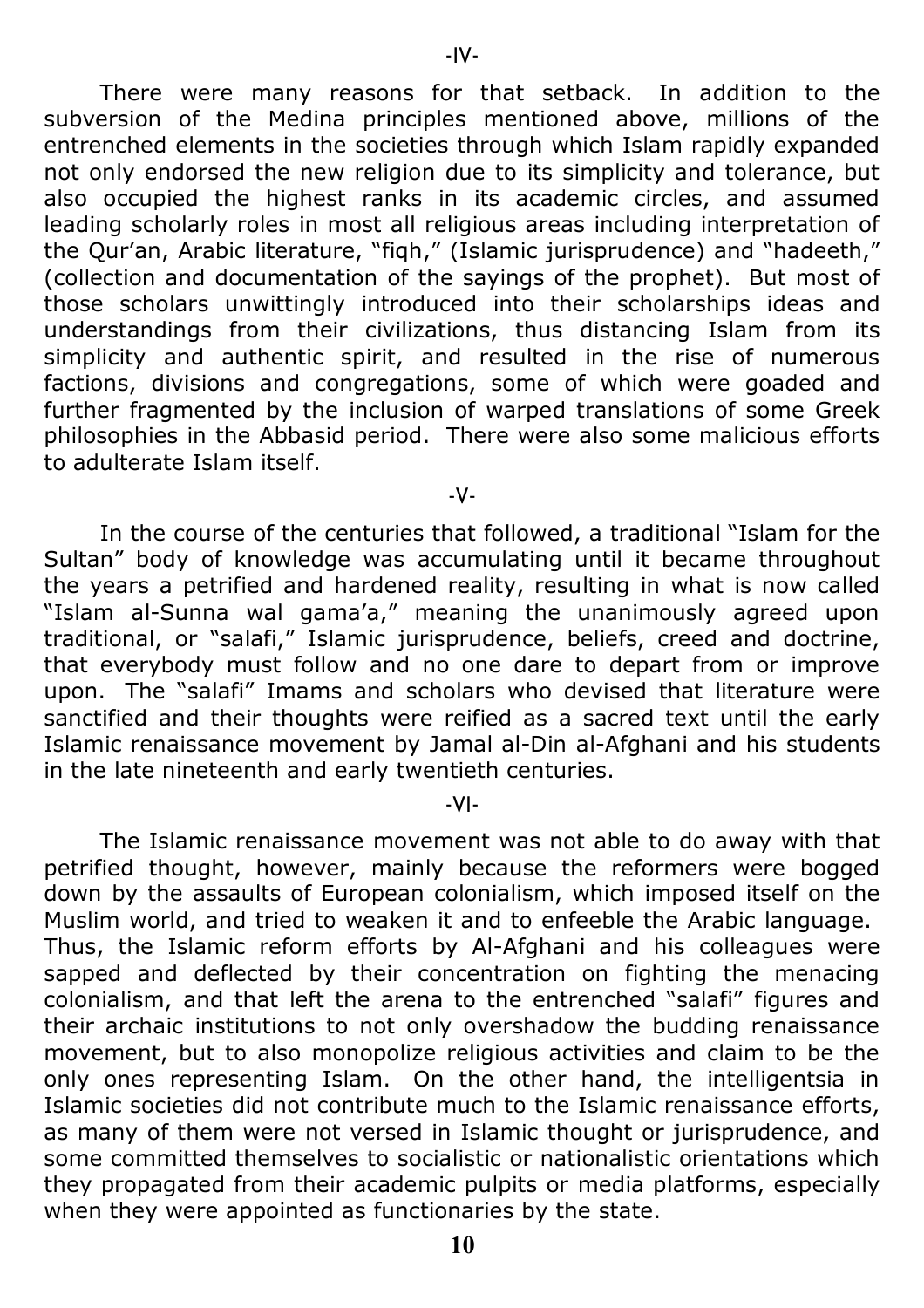There were many reasons for that setback. In addition to the subversion of the Medina principles mentioned above, millions of the entrenched elements in the societies through which Islam rapidly expanded not only endorsed the new religion due to its simplicity and tolerance, but also occupied the highest ranks in its academic circles, and assumed leading scholarly roles in most all religious areas including interpretation of the Qur'an, Arabic literature, "fiqh," (Islamic jurisprudence) and "hadeeth," (collection and documentation of the sayings of the prophet). But most of those scholars unwittingly introduced into their scholarships ideas and understandings from their civilizations, thus distancing Islam from its simplicity and authentic spirit, and resulted in the rise of numerous factions, divisions and congregations, some of which were goaded and further fragmented by the inclusion of warped translations of some Greek philosophies in the Abbasid period. There were also some malicious efforts to adulterate Islam itself.

-V-

In the course of the centuries that followed, a traditional "Islam for the Sultan" body of knowledge was accumulating until it became throughout the years a petrified and hardened reality, resulting in what is now called "Islam al-Sunna wal gama'a," meaning the unanimously agreed upon traditional, or "salafi," Islamic jurisprudence, beliefs, creed and doctrine, that everybody must follow and no one dare to depart from or improve upon. The "salafi" Imams and scholars who devised that literature were sanctified and their thoughts were reified as a sacred text until the early Islamic renaissance movement by Jamal al-Din al-Afghani and his students in the late nineteenth and early twentieth centuries.

-VI-

The Islamic renaissance movement was not able to do away with that petrified thought, however, mainly because the reformers were bogged down by the assaults of European colonialism, which imposed itself on the Muslim world, and tried to weaken it and to enfeeble the Arabic language. Thus, the Islamic reform efforts by Al-Afghani and his colleagues were sapped and deflected by their concentration on fighting the menacing colonialism, and that left the arena to the entrenched "salafi" figures and their archaic institutions to not only overshadow the budding renaissance movement, but to also monopolize religious activities and claim to be the only ones representing Islam. On the other hand, the intelligentsia in Islamic societies did not contribute much to the Islamic renaissance efforts, as many of them were not versed in Islamic thought or jurisprudence, and some committed themselves to socialistic or nationalistic orientations which they propagated from their academic pulpits or media platforms, especially when they were appointed as functionaries by the state.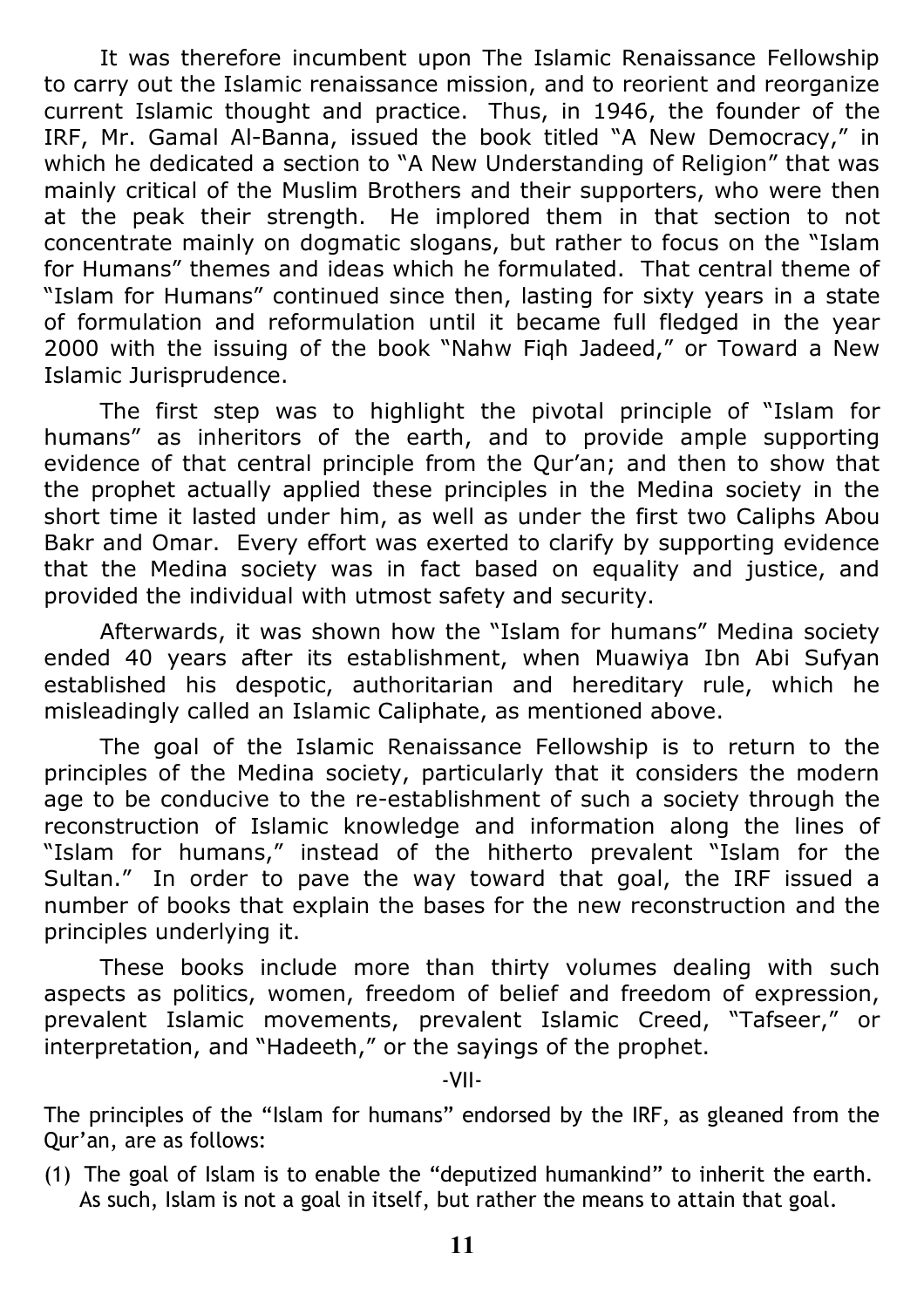It was therefore incumbent upon The Islamic Renaissance Fellowship to carry out the Islamic renaissance mission, and to reorient and reorganize current Islamic thought and practice. Thus, in 1946, the founder of the IRF, Mr. Gamal Al-Banna, issued the book titled "A New Democracy," in which he dedicated a section to "A New Understanding of Religion" that was mainly critical of the Muslim Brothers and their supporters, who were then at the peak their strength. He implored them in that section to not concentrate mainly on dogmatic slogans, but rather to focus on the "Islam for Humans" themes and ideas which he formulated. That central theme of "Islam for Humans" continued since then, lasting for sixty years in a state of formulation and reformulation until it became full fledged in the year 2000 with the issuing of the book "Nahw Fiqh Jadeed," or Toward a New Islamic Jurisprudence.

The first step was to highlight the pivotal principle of "Islam for humans" as inheritors of the earth, and to provide ample supporting evidence of that central principle from the Qur'an; and then to show that the prophet actually applied these principles in the Medina society in the short time it lasted under him, as well as under the first two Caliphs Abou Bakr and Omar. Every effort was exerted to clarify by supporting evidence that the Medina society was in fact based on equality and justice, and provided the individual with utmost safety and security.

Afterwards, it was shown how the "Islam for humans" Medina society ended 40 years after its establishment, when Muawiya Ibn Abi Sufyan established his despotic, authoritarian and hereditary rule, which he misleadingly called an Islamic Caliphate, as mentioned above.

The goal of the Islamic Renaissance Fellowship is to return to the principles of the Medina society, particularly that it considers the modern age to be conducive to the re-establishment of such a society through the reconstruction of Islamic knowledge and information along the lines of "Islam for humans," instead of the hitherto prevalent "Islam for the Sultan." In order to pave the way toward that goal, the IRF issued a number of books that explain the bases for the new reconstruction and the principles underlying it.

These books include more than thirty volumes dealing with such aspects as politics, women, freedom of belief and freedom of expression, prevalent Islamic movements, prevalent Islamic Creed, "Tafseer," or interpretation, and "Hadeeth," or the sayings of the prophet.

-VII-

The principles of the "Islam for humans" endorsed by the IRF, as gleaned from the Qur'an, are as follows:

(1) The goal of Islam is to enable the "deputized humankind" to inherit the earth. As such, Islam is not a goal in itself, but rather the means to attain that goal.